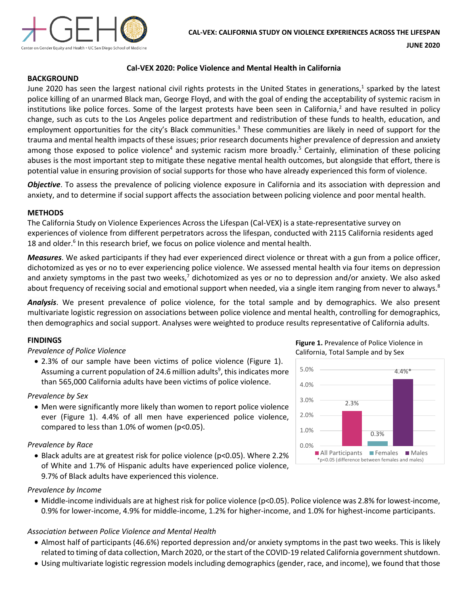

## **BACKGROUND**

# **Cal-VEX 2020: Police Violence and Mental Health in California**

June 2020 has seen the largest national civil rights protests in the United States in generations,<sup>1</sup> sparked by the latest police killing of an unarmed Black man, George Floyd, and with the goal of ending the acceptability of systemic racism in institutions like police forces. Some of the largest protests have been seen in California,<sup>2</sup> and have resulted in policy change, such as cuts to the Los Angeles police department and redistribution of these funds to health, education, and employment opportunities for the city's Black communities.<sup>3</sup> These communities are likely in need of support for the trauma and mental health impacts of these issues; prior research documents higher prevalence of depression and anxiety among those exposed to police violence<sup>4</sup> and systemic racism more broadly.<sup>5</sup> Certainly, elimination of these policing abuses is the most important step to mitigate these negative mental health outcomes, but alongside that effort, there is potential value in ensuring provision of social supports for those who have already experienced this form of violence.

*Objective*. To assess the prevalence of policing violence exposure in California and its association with depression and anxiety, and to determine if social support affects the association between policing violence and poor mental health.

### **METHODS**

The California Study on Violence Experiences Across the Lifespan (Cal-VEX) is a state-representative survey on experiences of violence from different perpetrators across the lifespan, conducted with 2115 California residents aged 18 and older.<sup>6</sup> In this research brief, we focus on police violence and mental health.

*Measures*. We asked participants if they had ever experienced direct violence or threat with a gun from a police officer, dichotomized as yes or no to ever experiencing police violence. We assessed mental health via four items on depression and anxiety symptoms in the past two weeks, $^7$  dichotomized as yes or no to depression and/or anxiety. We also asked about frequency of receiving social and emotional support when needed, via a single item ranging from never to always.<sup>8</sup>

*Analysis*. We present prevalence of police violence, for the total sample and by demographics. We also present multivariate logistic regression on associations between police violence and mental health, controlling for demographics, then demographics and social support. Analyses were weighted to produce results representative of California adults.

## **FINDINGS**

### *Prevalence of Police Violence*

• 2.3% of our sample have been victims of police violence (Figure 1). Assuming a current population of 24.6 million adults $9$ , this indicates more than 565,000 California adults have been victims of police violence.

### *Prevalence by Sex*

• Men were significantly more likely than women to report police violence ever (Figure 1). 4.4% of all men have experienced police violence, compared to less than 1.0% of women (p<0.05).

### *Prevalence by Race*

• Black adults are at greatest risk for police violence (p<0.05). Where 2.2% of White and 1.7% of Hispanic adults have experienced police violence, 9.7% of Black adults have experienced this violence.

### *Prevalence by Income*

• Middle-income individuals are at highest risk for police violence (p<0.05). Police violence was 2.8% for lowest-income, 0.9% for lower-income, 4.9% for middle-income, 1.2% for higher-income, and 1.0% for highest-income participants.

## *Association between Police Violence and Mental Health*

- Almost half of participants (46.6%) reported depression and/or anxiety symptoms in the past two weeks. This is likely related to timing of data collection, March 2020, or the start of the COVID-19 related California government shutdown.
- Using multivariate logistic regression models including demographics (gender, race, and income), we found that those

**Figure 1.** Prevalence of Police Violence in California, Total Sample and by Sex